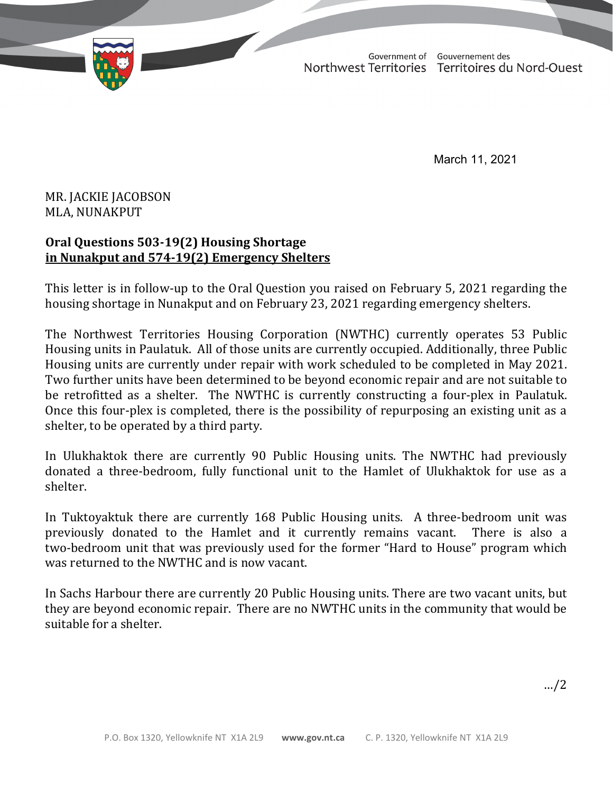TD 355-19(2) TABLED ON MARCH 12, 2021Government of Gouvernement des Northwest Territories Territoires du Nord-Ouest

March 11, 2021

## MR. JACKIE JACOBSON MLA, NUNAKPUT

## **Oral Questions 503-19(2) Housing Shortage in Nunakput and 574-19(2) Emergency Shelters**

This letter is in follow-up to the Oral Question you raised on February 5, 2021 regarding the housing shortage in Nunakput and on February 23, 2021 regarding emergency shelters.

The Northwest Territories Housing Corporation (NWTHC) currently operates 53 Public Housing units in Paulatuk. All of those units are currently occupied. Additionally, three Public Housing units are currently under repair with work scheduled to be completed in May 2021. Two further units have been determined to be beyond economic repair and are not suitable to be retrofitted as a shelter. The NWTHC is currently constructing a four-plex in Paulatuk. Once this four-plex is completed, there is the possibility of repurposing an existing unit as a shelter, to be operated by a third party.

In Ulukhaktok there are currently 90 Public Housing units. The NWTHC had previously donated a three-bedroom, fully functional unit to the Hamlet of Ulukhaktok for use as a shelter.

In Tuktoyaktuk there are currently 168 Public Housing units. A three-bedroom unit was previously donated to the Hamlet and it currently remains vacant. There is also a previously donated to the Hamlet and it currently remains vacant. two-bedroom unit that was previously used for the former "Hard to House" program which was returned to the NWTHC and is now vacant.

In Sachs Harbour there are currently 20 Public Housing units. There are two vacant units, but they are beyond economic repair. There are no NWTHC units in the community that would be suitable for a shelter.

…/2